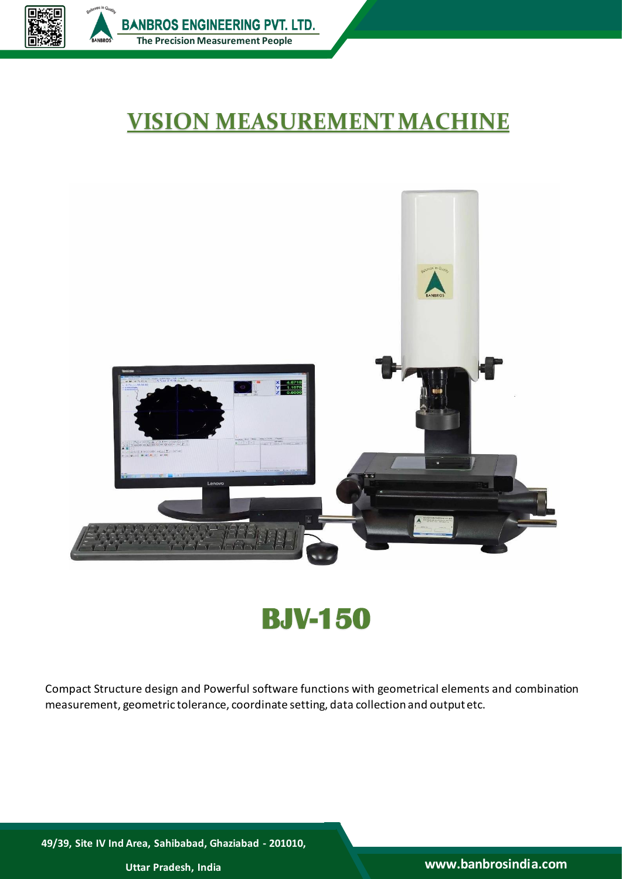

## **VISION MEASUREMENTMACHINE**



# **BJV-150**

Compact Structure design and Powerful software functions with geometrical elements and combination measurement, geometric tolerance, coordinate setting, data collection and outputetc.

**49/39, Site IV Ind Area, Sahibabad, Ghaziabad - 201010,**

**Uttar Pradesh, India www.banbrosindia.com**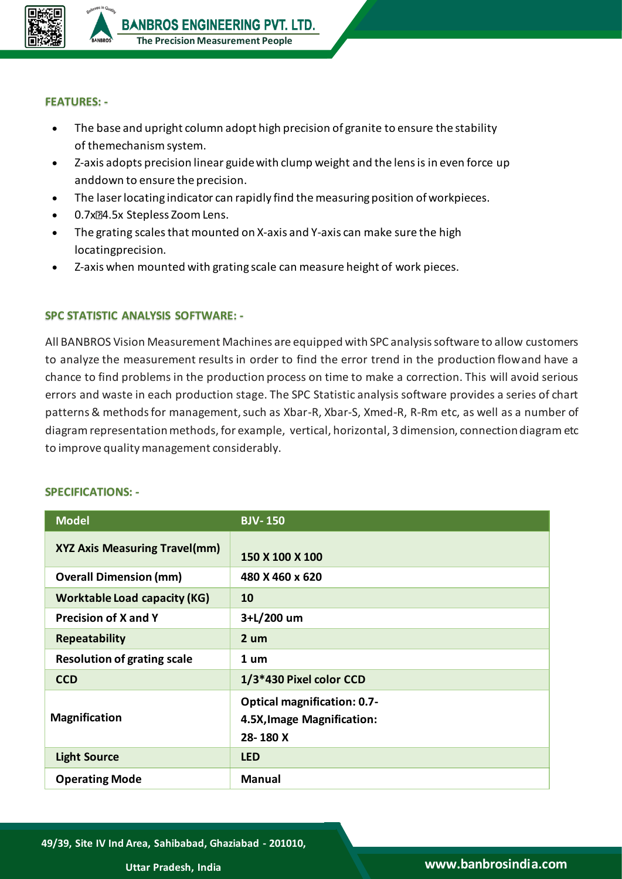

#### **FEATURES: -**

- The base and upright column adopt high precision of granite to ensure the stability of themechanism system.
- Z-axis adopts precision linear guide with clump weight and the lensis in even force up anddown to ensure the precision.
- The laserlocating indicator can rapidly find themeasuring position of workpieces.
- 0.7x<sup>2</sup>4.5x Stepless Zoom Lens.
- The grating scales that mounted on X-axis and Y-axis can make sure the high locatingprecision.
- Z-axis when mounted with grating scale can measure height of work pieces.

### **SPC STATISTIC ANALYSIS SOFTWARE: -**

All BANBROS Vision Measurement Machines are equipped with SPC analysis software to allow customers to analyze the measurement results in order to find the error trend in the production flowand have a chance to find problems in the production process on time to make a correction. This will avoid serious errors and waste in each production stage. The SPC Statistic analysis software provides a series of chart patterns & methods for management, such as Xbar-R, Xbar-S, Xmed-R, R-Rm etc, as well as a number of diagram representation methods, for example, vertical, horizontal, 3 dimension, connection diagram etc to improve quality management considerably.

### **Model BJV- 150 XYZ Axis Measuring Travel(mm) 150 X 100 X 100 Overall Dimension (mm) 480 X 460 x 620 Worktable Load capacity (KG) 10 Precision of X and Y 3+L/200 um Repeatability 2 um Resolution of grating scale 1 um CCD 1/3\*430 Pixel color CCD Magnification Optical magnification: 0.7- 4.5X,Image Magnification: 28- 180 X Light Source LED Operating Mode Manual**

### **SPECIFICATIONS: -**

**49/39, Site IV Ind Area, Sahibabad, Ghaziabad - 201010,**